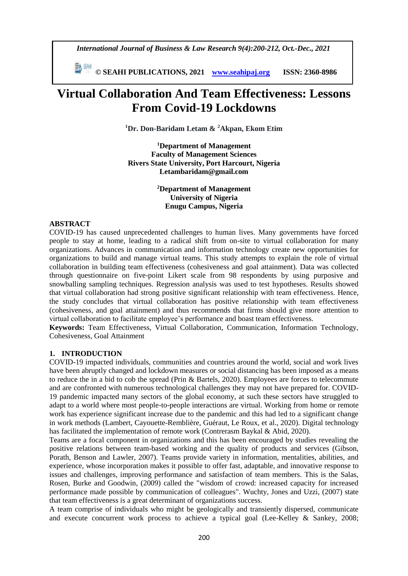*International Journal of Business & Law Research 9(4):200-212, Oct.-Dec., 2021*

 **© SEAHI PUBLICATIONS, 2021 [www.seahipaj.org](http://www.seahipaj.org/) ISSN: 2360-8986**

# **Virtual Collaboration And Team Effectiveness: Lessons From Covid-19 Lockdowns**

**<sup>1</sup>Dr. Don-Baridam Letam & <sup>2</sup>Akpan, Ekom Etim**

**<sup>1</sup>Department of Management Faculty of Management Sciences Rivers State University, Port Harcourt, Nigeria Letambaridam@gmail.com**

> **<sup>2</sup>Department of Management University of Nigeria Enugu Campus, Nigeria**

## **ABSTRACT**

COVID-19 has caused unprecedented challenges to human lives. Many governments have forced people to stay at home, leading to a radical shift from on-site to virtual collaboration for many organizations. Advances in communication and information technology create new opportunities for organizations to build and manage virtual teams. This study attempts to explain the role of virtual collaboration in building team effectiveness (cohesiveness and goal attainment). Data was collected through questionnaire on five-point Likert scale from 98 respondents by using purposive and snowballing sampling techniques. Regression analysis was used to test hypotheses. Results showed that virtual collaboration had strong positive significant relationship with team effectiveness. Hence, the study concludes that virtual collaboration has positive relationship with team effectiveness (cohesiveness, and goal attainment) and thus recommends that firms should give more attention to virtual collaboration to facilitate employee's performance and boast team effectiveness.

**Keywords:** Team Effectiveness, Virtual Collaboration, Communication, Information Technology, Cohesiveness, Goal Attainment

#### **1. INTRODUCTION**

COVID-19 impacted individuals, communities and countries around the world, social and work lives have been abruptly changed and lockdown measures or social distancing has been imposed as a means to reduce the in a bid to cob the spread [\(Prin & Bartels, 2020\)](https://www.frontiersin.org/articles/10.3389/fpsyg.2020.590271/full#B68). Employees are forces to telecommute and are confronted with numerous technological challenges they may not have prepared for. COVID-19 pandemic impacted many sectors of the global economy, at such these sectors have struggled to adapt to a world where most people-to-people interactions are virtual. Working from home or remote work has experience significant increase due to the pandemic and this had led to a significant change in work methods [\(Lambert, Cayouette-Remblière,](https://www.frontiersin.org/articles/10.3389/fpsyg.2020.590271/full#B51) Guéraut, Le Roux, et al., 2020). Digital technology has facilitated the implementation of remote work (Contrerasm Baykal & Abid, 2020).

Teams are a focal component in organizations and this has been encouraged by studies revealing the positive relations between team-based working and the quality of products and services (Gibson, Porath, Benson and Lawler, 2007). Teams provide variety in information, mentalities, abilities, and experience, whose incorporation makes it possible to offer fast, adaptable, and innovative response to issues and challenges, improving performance and satisfaction of team members. This is the Salas, Rosen, Burke and Goodwin, (2009) called the "wisdom of crowd: increased capacity for increased performance made possible by communication of colleagues". Wuchty, Jones and Uzzi, (2007) state that team effectiveness is a great determinant of organizations success.

A team comprise of individuals who might be geologically and transiently dispersed, communicate and execute concurrent work process to achieve a typical goal (Lee-Kelley & Sankey, 2008;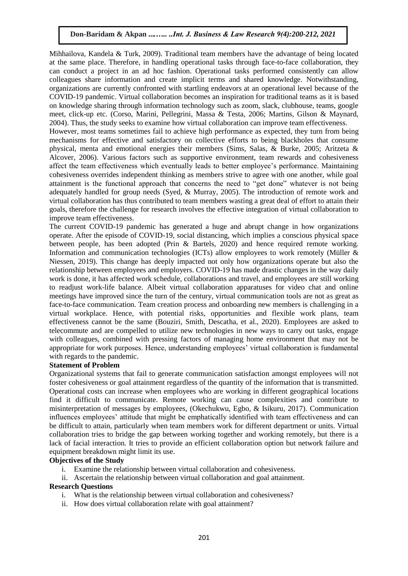Mihhailova, Kandela & Turk, 2009). Traditional team members have the advantage of being located at the same place. Therefore, in handling operational tasks through face-to-face collaboration, they can conduct a project in an ad hoc fashion. Operational tasks performed consistently can allow colleagues share information and create implicit terms and shared knowledge. Notwithstanding, organizations are currently confronted with startling endeavors at an operational level because of the COVID-19 pandemic. Virtual collaboration becomes an inspiration for traditional teams as it is based on knowledge sharing through information technology such as zoom, slack, clubhouse, teams, google meet, click-up etc. (Corso, Marini, Pellegrini, Massa & Testa, 2006; Martins, Gilson & Maynard, 2004). Thus, the study seeks to examine how virtual collaboration can improve team effectiveness.

However, most teams sometimes fail to achieve high performance as expected, they turn from being mechanisms for effective and satisfactory on collective efforts to being blackholes that consume physical, menta and emotional energies their members (Sims, Salas, & Burke, 2005; Aritzeta & Alcover, 2006). Various factors such as supportive environment, team rewards and cohesiveness affect the team effectiveness which eventually leads to better employee's performance. Maintaining cohesiveness overrides independent thinking as members strive to agree with one another, while goal attainment is the functional approach that concerns the need to "get done" whatever is not being adequately handled for group needs (Syed, & Murray, 2005). The introduction of remote work and virtual collaboration has thus contributed to team members wasting a great deal of effort to attain their goals, therefore the challenge for research involves the effective integration of virtual collaboration to improve team effectiveness.

The current COVID-19 pandemic has generated a huge and abrupt change in how organizations operate. After the episode of COVID-19, social distancing, which implies a conscious physical space between people, has been adopted (Prin & Bartels, 2020) and hence required remote working. Information and communication technologies (ICTs) allow employees to work remotely (Müller & Niessen, 2019). This change has deeply impacted not only how organizations operate but also the relationship between employees and employers. COVID-19 has made drastic changes in the way daily work is done, it has affected work schedule, collaborations and travel, and employees are still working to readjust work-life balance. Albeit virtual collaboration apparatuses for video chat and online meetings have improved since the turn of the century, virtual communication tools are not as great as face-to-face communication. Team creation process and onboarding new members is challenging in a virtual workplace. Hence, with potential risks, opportunities and flexible work plans, team effectiveness cannot be the same (Bouziri, Smith, Descatha, et al., 2020). Employees are asked to telecommute and are compelled to utilize new technologies in new ways to carry out tasks, engage with colleagues, combined with pressing factors of managing home environment that may not be appropriate for work purposes. Hence, understanding employees' virtual collaboration is fundamental with regards to the pandemic.

#### **Statement of Problem**

Organizational systems that fail to generate communication satisfaction amongst employees will not foster cohesiveness or goal attainment regardless of the quantity of the information that is transmitted. Operational costs can increase when employees who are working in different geographical locations find it difficult to communicate. Remote working can cause complexities and contribute to misinterpretation of messages by employees, (Okechukwu, Egbo, & Isikuru, 2017). Communication influences employees' attitude that might be emphatically identified with team effectiveness and can be difficult to attain, particularly when team members work for different department or units. Virtual collaboration tries to bridge the gap between working together and working remotely, but there is a lack of facial interaction. It tries to provide an efficient collaboration option but network failure and equipment breakdown might limit its use.

#### **Objectives of the Study**

- i. Examine the relationship between virtual collaboration and cohesiveness.
- ii. Ascertain the relationship between virtual collaboration and goal attainment.

#### **Research Questions**

- i. What is the relationship between virtual collaboration and cohesiveness?
- ii. How does virtual collaboration relate with goal attainment?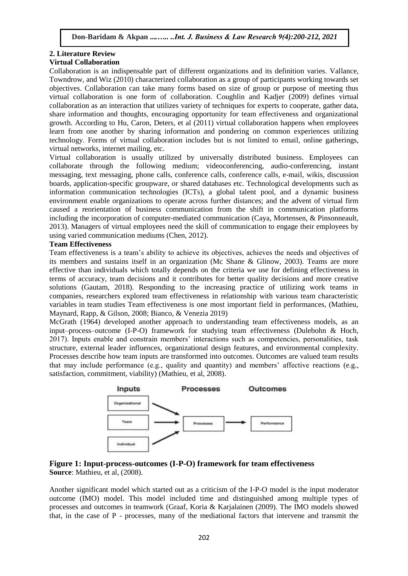#### **2. Literature Review Virtual Collaboration**

Collaboration is an indispensable part of different organizations and its definition varies. Vallance, Towndrow, and Wiz (2010) characterized collaboration as a group of participants working towards set objectives. Collaboration can take many forms based on size of group or purpose of meeting thus virtual collaboration is one form of collaboration. Coughlin and Kadjer (2009) defines virtual collaboration as an interaction that utilizes variety of techniques for experts to cooperate, gather data, share information and thoughts, encouraging opportunity for team effectiveness and organizational growth. According to Hu, Caron, Deters, et al (2011) virtual collaboration happens when employees learn from one another by sharing information and pondering on common experiences utilizing technology. Forms of virtual collaboration includes but is not limited to email, online gatherings, virtual networks, internet mailing, etc.

Virtual collaboration is usually utilized by universally distributed business. Employees can collaborate through the following medium; videoconferencing, audio-conferencing, instant messaging, text messaging, phone calls, conference calls, conference calls, e-mail, wikis, discussion boards, application-specific groupware, or shared databases etc. Technological developments such as information communication technologies (ICTs), a global talent pool, and a dynamic business environment enable organizations to operate across further distances; and the advent of virtual firm caused a reorientation of business communication from the shift in communication platforms including the incorporation of computer-mediated communication (Caya, Mortensen, & Pinsonneault, 2013). Managers of virtual employees need the skill of communication to engage their employees by using varied communication mediums (Chen, 2012).

# **Team Effectiveness**

Team effectiveness is a team's ability to achieve its objectives, achieves the needs and objectives of its members and sustains itself in an organization (Mc Shane & Glinow, 2003). Teams are more effective than individuals which totally depends on the criteria we use for defining effectiveness in terms of accuracy, team decisions and it contributes for better quality decisions and more creative solutions (Gautam, 2018). Responding to the increasing practice of utilizing work teams in companies, researchers explored team effectiveness in relationship with various team characteristic variables in team studies Team effectiveness is one most important field in performances, (Mathieu, Maynard, Rapp, & Gilson, 2008; Bianco, & Venezia 2019)

McGrath (1964) developed another approach to understanding team effectiveness models, as an input–process–outcome (I-P-O) framework for studying team effectiveness (Dulebohn & Hoch, 2017). Inputs enable and constrain members' interactions such as competencies, personalities, task structure, external leader influences, organizational design features, and environmental complexity. Processes describe how team inputs are transformed into outcomes. Outcomes are valued team results that may include performance (e.g., quality and quantity) and members' affective reactions (e.g., satisfaction, commitment, viability) (Mathieu, et al, 2008).



#### **Figure 1: Input-process-outcomes (I-P-O) framework for team effectiveness Source**: Mathieu, et al, (2008).

Another significant model which started out as a criticism of the I-P-O model is the input moderator outcome (IMO) model. This model included time and distinguished among multiple types of processes and outcomes in teamwork (Graaf, Koria & Karjalainen (2009). The IMO models showed that, in the case of P - processes, many of the mediational factors that intervene and transmit the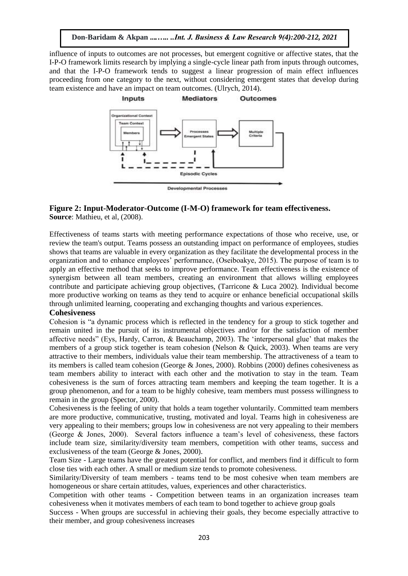influence of inputs to outcomes are not processes, but emergent cognitive or affective states, that the I-P-O framework limits research by implying a single-cycle linear path from inputs through outcomes, and that the I-P-O framework tends to suggest a linear progression of main effect influences proceeding from one category to the next, without considering emergent states that develop during team existence and have an impact on team outcomes. (Ulrych, 2014).



## **Figure 2: Input-Moderator-Outcome (I-M-O) framework for team effectiveness. Source**: Mathieu, et al, (2008).

Effectiveness of teams starts with meeting performance expectations of those who receive, use, or review the team's output. Teams possess an outstanding impact on performance of employees, studies shows that teams are valuable in every organization as they facilitate the developmental process in the organization and to enhance employees' performance, (Oseiboakye, 2015). The purpose of team is to apply an effective method that seeks to improve performance. Team effectiveness is the existence of synergism between all team members, creating an environment that allows willing employees contribute and participate achieving group objectives, (Tarricone & Luca 2002). Individual become more productive working on teams as they tend to acquire or enhance beneficial occupational skills through unlimited learning, cooperating and exchanging thoughts and various experiences.

#### **Cohesiveness**

Cohesion is "a dynamic process which is reflected in the tendency for a group to stick together and remain united in the pursuit of its instrumental objectives and/or for the satisfaction of member affective needs" (Eys, Hardy, Carron, & Beauchamp, 2003). The 'interpersonal glue' that makes the members of a group stick together is team cohesion (Nelson & Quick, 2003). When teams are very attractive to their members, individuals value their team membership. The attractiveness of a team to its members is called team cohesion (George & Jones, 2000). Robbins (2000) defines cohesiveness as team members ability to interact with each other and the motivation to stay in the team. Team cohesiveness is the sum of forces attracting team members and keeping the team together. It is a group phenomenon, and for a team to be highly cohesive, team members must possess willingness to remain in the group (Spector, 2000).

Cohesiveness is the feeling of unity that holds a team together voluntarily. Committed team members are more productive, communicative, trusting, motivated and loyal. Teams high in cohesiveness are very appealing to their members; groups low in cohesiveness are not very appealing to their members (George & Jones, 2000). Several factors influence a team's level of cohesiveness, these factors include team size, similarity/diversity team members, competition with other teams, success and exclusiveness of the team (George & Jones, 2000).

Team Size - Large teams have the greatest potential for conflict, and members find it difficult to form close ties with each other. A small or medium size tends to promote cohesiveness.

Similarity/Diversity of team members - teams tend to be most cohesive when team members are homogeneous or share certain attitudes, values, experiences and other characteristics.

Competition with other teams - Competition between teams in an organization increases team cohesiveness when it motivates members of each team to bond together to achieve group goals

Success - When groups are successful in achieving their goals, they become especially attractive to their member, and group cohesiveness increases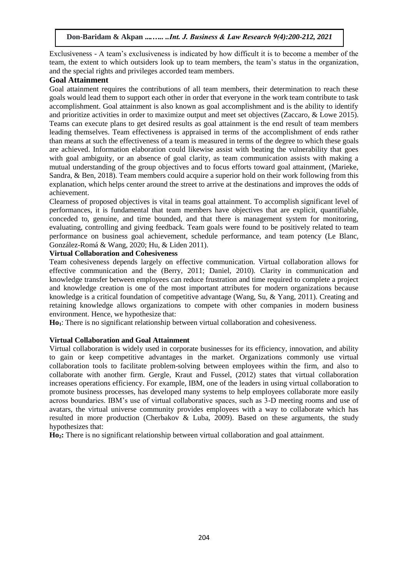Exclusiveness - A team's exclusiveness is indicated by how difficult it is to become a member of the team, the extent to which outsiders look up to team members, the team's status in the organization, and the special rights and privileges accorded team members.

# **Goal Attainment**

Goal attainment requires the contributions of all team members, their determination to reach these goals would lead them to support each other in order that everyone in the work team contribute to task accomplishment. Goal attainment is also known as goal accomplishment and is the ability to identify and prioritize activities in order to maximize output and meet set objectives (Zaccaro, & Lowe 2015). Teams can execute plans to get desired results as goal attainment is the end result of team members leading themselves. Team effectiveness is appraised in terms of the accomplishment of ends rather than means at such the effectiveness of a team is measured in terms of the degree to which these goals are achieved. Information elaboration could likewise assist with beating the vulnerability that goes with goal ambiguity, or an absence of goal clarity, as team communication assists with making a mutual understanding of the group objectives and to focus efforts toward goal attainment, (Marieke, Sandra, & Ben, 2018). Team members could acquire a superior hold on their work following from this explanation, which helps center around the street to arrive at the destinations and improves the odds of achievement.

Clearness of proposed objectives is vital in teams goal attainment. To accomplish significant level of performances, it is fundamental that team members have objectives that are explicit, quantifiable, conceded to, genuine, and time bounded, and that there is management system for monitoring, evaluating, controlling and giving feedback. Team goals were found to be positively related to team performance on business goal achievement, schedule performance, and team potency (Le Blanc, González-Romá & Wang, 2020; Hu, & Liden 2011).

# **Virtual Collaboration and Cohesiveness**

Team cohesiveness depends largely on effective communication. Virtual collaboration allows for effective communication and the (Berry, 2011; Daniel, 2010). Clarity in communication and knowledge transfer between employees can reduce frustration and time required to complete a project and knowledge creation is one of the most important attributes for modern organizations because knowledge is a critical foundation of competitive advantage (Wang, Su, & Yang, 2011). Creating and retaining knowledge allows organizations to compete with other companies in modern business environment. Hence, we hypothesize that:

**Ho1**: There is no significant relationship between virtual collaboration and cohesiveness.

# **Virtual Collaboration and Goal Attainment**

Virtual collaboration is widely used in corporate businesses for its efficiency, innovation, and ability to gain or keep competitive advantages in the market. Organizations commonly use virtual collaboration tools to facilitate problem-solving between employees within the firm, and also to collaborate with another firm. Gergle, Kraut and Fussel, (2012) states that virtual collaboration increases operations efficiency. For example, IBM, one of the leaders in using virtual collaboration to promote business processes, has developed many systems to help employees collaborate more easily across boundaries. IBM's use of virtual collaborative spaces, such as 3-D meeting rooms and use of avatars, the virtual universe community provides employees with a way to collaborate which has resulted in more production (Cherbakov & Luba, 2009). Based on these arguments, the study hypothesizes that:

**Ho2:** There is no significant relationship between virtual collaboration and goal attainment.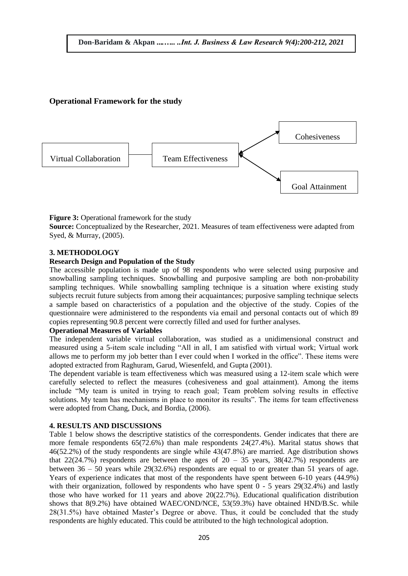# **Operational Framework for the study**



**Figure 3:** Operational framework for the study **Source:** Conceptualized by the Researcher, 2021. Measures of team effectiveness were adapted from Syed, & Murray, (2005).

# **3. METHODOLOGY**

## **Research Design and Population of the Study**

The accessible population is made up of 98 respondents who were selected using purposive and snowballing sampling techniques. Snowballing and purposive sampling are both non-probability sampling techniques. While snowballing sampling technique is a situation where existing study subjects recruit future subjects from among their acquaintances; purposive sampling technique selects a sample based on characteristics of a population and the objective of the study. Copies of the questionnaire were administered to the respondents via email and personal contacts out of which 89 copies representing 90.8 percent were correctly filled and used for further analyses.

#### **Operational Measures of Variables**

The independent variable virtual collaboration, was studied as a unidimensional construct and measured using a 5-item scale including "All in all, I am satisfied with virtual work; Virtual work allows me to perform my job better than I ever could when I worked in the office". These items were adopted extracted from Raghuram, Garud, Wiesenfeld, and Gupta (2001).

The dependent variable is team effectiveness which was measured using a 12-item scale which were carefully selected to reflect the measures (cohesiveness and goal attainment). Among the items include "My team is united in trying to reach goal; Team problem solving results in effective solutions. My team has mechanisms in place to monitor its results". The items for team effectiveness were adopted from Chang, Duck, and Bordia, (2006).

#### **4. RESULTS AND DISCUSSIONS**

Table 1 below shows the descriptive statistics of the correspondents. Gender indicates that there are more female respondents 65(72.6%) than male respondents 24(27.4%). Marital status shows that 46(52.2%) of the study respondents are single while 43(47.8%) are married. Age distribution shows that 22(24.7%) respondents are between the ages of  $20 - 35$  years,  $38(42.7%)$  respondents are between 36 – 50 years while 29(32.6%) respondents are equal to or greater than 51 years of age. Years of experience indicates that most of the respondents have spent between 6-10 years (44.9%) with their organization, followed by respondents who have spent  $0 - 5$  years 29(32.4%) and lastly those who have worked for 11 years and above 20(22.7%). Educational qualification distribution shows that 8(9.2%) have obtained WAEC/OND/NCE, 53(59.3%) have obtained HND/B.Sc. while 28(31.5%) have obtained Master's Degree or above. Thus, it could be concluded that the study respondents are highly educated. This could be attributed to the high technological adoption.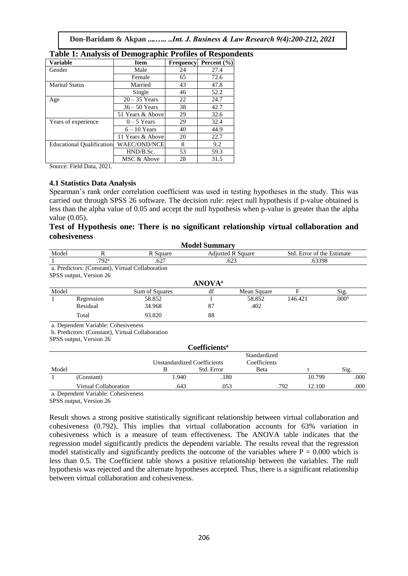|                                  | $\mathbf{\sigma}$   |           |                 |
|----------------------------------|---------------------|-----------|-----------------|
| <b>Variable</b>                  | <b>Item</b>         | Frequency | Percent $(\% )$ |
| Gender                           | Male                | 24        | 27.4            |
|                                  | Female              | 65        | 72.6            |
| <b>Marital Status</b>            | Married             | 43        | 47.8            |
|                                  | Single              | 46        | 52.2            |
| Age                              | $20 - 35$ Years     | 22        | 24.7            |
|                                  | $36 - 50$ Years     | 38        | 42.7            |
|                                  | 51 Years & Above    | 29        | 32.6            |
| Years of experience              | $0-5$ Years         | 29        | 32.4            |
|                                  | $6 - 10$ Years      | 40        | 44.9            |
|                                  | 11 Years & Above    | 20        | 22.7            |
| <b>Educational Qualification</b> | <b>WAEC/OND/NCE</b> | 8         | 9.2             |
|                                  | HND/B.Sc.           | 53        | 59.3            |
|                                  | MSC & Above         | 28        | 31.5            |

|  |  |  |  |  | <b>Table 1: Analysis of Demographic Profiles of Respondents</b> |  |
|--|--|--|--|--|-----------------------------------------------------------------|--|
|  |  |  |  |  |                                                                 |  |

Source: Field Data, 2021.

#### **4.1 Statistics Data Analysis**

Spearman's rank order correlation coefficient was used in testing hypotheses in the study. This was carried out through SPSS 26 software. The decision rule: reject null hypothesis if p-value obtained is less than the alpha value of 0.05 and accept the null hypothesis when p-value is greater than the alpha value (0.05).

#### **Test of Hypothesis one: There is no significant relationship virtual collaboration and cohesiveness**

|       |                                                  |                | <b>Model Summary</b>      |                          |                            |                   |  |
|-------|--------------------------------------------------|----------------|---------------------------|--------------------------|----------------------------|-------------------|--|
| Model | R                                                | R Square       |                           | <b>Adjusted R Square</b> | Std. Error of the Estimate |                   |  |
|       | .792 <sup>a</sup>                                | .627           |                           | .623                     | .63398                     |                   |  |
|       | a. Predictors: (Constant), Virtual Collaboration |                |                           |                          |                            |                   |  |
|       | SPSS output, Version 26                          |                |                           |                          |                            |                   |  |
|       |                                                  |                | <b>ANOVA</b> <sup>a</sup> |                          |                            |                   |  |
| Model |                                                  | Sum of Squares | df                        | Mean Square              | F                          | Sig.              |  |
|       | Regression                                       | 58.852         |                           | 58.852                   | 146.421                    | .000 <sup>b</sup> |  |
|       | Residual                                         | 34.968         | 87                        | .402                     |                            |                   |  |
|       | Total                                            | 93.820         | 88                        |                          |                            |                   |  |
|       | a. Dependent Variable: Cohesiveness              |                |                           |                          |                            |                   |  |
|       | b. Predictors: (Constant), Virtual Collaboration |                |                           |                          |                            |                   |  |
|       | SPSS output, Version 26                          |                |                           |                          |                            |                   |  |

|       |                                    |                                    | Coefficients <sup>a</sup> |              |        |      |
|-------|------------------------------------|------------------------------------|---------------------------|--------------|--------|------|
|       |                                    |                                    |                           | Standardized |        |      |
|       |                                    | <b>Unstandardized Coefficients</b> |                           | Coefficients |        |      |
| Model |                                    |                                    | Std. Error                | <b>B</b> eta |        | Sig. |
|       | (Constant)                         | 1.940                              | .180                      |              | 10.799 | .000 |
|       | Virtual Collaboration              | .643                               | .053                      | .792         | 12.100 | .000 |
|       | o Donandant Vorjablas Cohoqiyanasa |                                    |                           |              |        |      |

a. Dependent Variable: Cohesiveness

SPSS output, Version 26

Result shows a strong positive statistically significant relationship between virtual collaboration and cohesiveness (0.792). This implies that virtual collaboration accounts for 63% variation in cohesiveness which is a measure of team effectiveness. The ANOVA table indicates that the regression model significantly predicts the dependent variable. The results reveal that the regression model statistically and significantly predicts the outcome of the variables where  $P = 0.000$  which is less than 0.5. The Coefficient table shows a positive relationship between the variables. The null hypothesis was rejected and the alternate hypotheses accepted. Thus, there is a significant relationship between virtual collaboration and cohesiveness.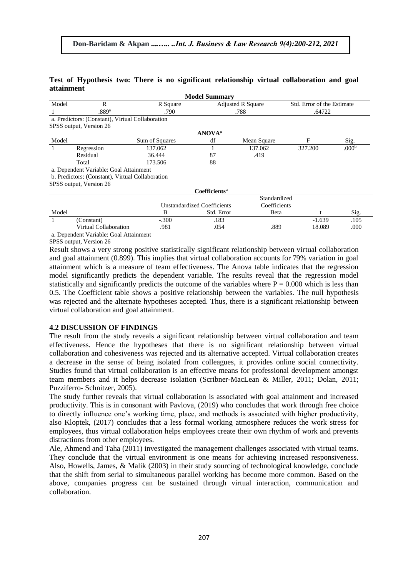## **Test of Hypothesis two: There is no significant relationship virtual collaboration and goal attainment**

|              |                                                  |                | <b>Model Summary</b>               |                          |                            |                   |  |  |
|--------------|--------------------------------------------------|----------------|------------------------------------|--------------------------|----------------------------|-------------------|--|--|
| Model        | R                                                | R Square       |                                    | <b>Adjusted R Square</b> | Std. Error of the Estimate |                   |  |  |
| -1           | .889a                                            | .790           |                                    | .788                     | .64722                     |                   |  |  |
|              | a. Predictors: (Constant), Virtual Collaboration |                |                                    |                          |                            |                   |  |  |
|              | SPSS output, Version 26                          |                |                                    |                          |                            |                   |  |  |
|              |                                                  |                | <b>ANOVA</b> <sup>a</sup>          |                          |                            |                   |  |  |
| Model        |                                                  | Sum of Squares | df                                 | Mean Square              | F                          | Sig.              |  |  |
| 1            | Regression                                       | 137.062        |                                    | 137.062                  | 327.200                    | .000 <sup>b</sup> |  |  |
|              | Residual                                         | 36.444         | 87                                 | .419                     |                            |                   |  |  |
|              | Total                                            | 173.506        | 88                                 |                          |                            |                   |  |  |
|              | a. Dependent Variable: Goal Attainment           |                |                                    |                          |                            |                   |  |  |
|              | b. Predictors: (Constant), Virtual Collaboration |                |                                    |                          |                            |                   |  |  |
|              | SPSS output, Version 26                          |                |                                    |                          |                            |                   |  |  |
|              |                                                  |                | Coefficients <sup>a</sup>          |                          |                            |                   |  |  |
|              |                                                  |                |                                    | Standardized             |                            |                   |  |  |
|              |                                                  |                | <b>Unstandardized Coefficients</b> | Coefficients             |                            |                   |  |  |
| Model        |                                                  | B              | Std. Error                         | Beta                     |                            | Sig.              |  |  |
| $\mathbf{1}$ | (Constant)                                       | $-.300$        | .183                               |                          | $-1.639$                   | .105              |  |  |
|              | Virtual Collaboration                            | .981           | .054                               | .889                     | 18.089                     | .000              |  |  |
|              |                                                  |                |                                    |                          |                            |                   |  |  |

a. Dependent Variable: Goal Attainment

SPSS output, Version 26

Result shows a very strong positive statistically significant relationship between virtual collaboration and goal attainment (0.899). This implies that virtual collaboration accounts for 79% variation in goal attainment which is a measure of team effectiveness. The Anova table indicates that the regression model significantly predicts the dependent variable. The results reveal that the regression model statistically and significantly predicts the outcome of the variables where  $P = 0.000$  which is less than 0.5. The Coefficient table shows a positive relationship between the variables. The null hypothesis was rejected and the alternate hypotheses accepted. Thus, there is a significant relationship between virtual collaboration and goal attainment.

#### **4.2 DISCUSSION OF FINDINGS**

The result from the study reveals a significant relationship between virtual collaboration and team effectiveness. Hence the hypotheses that there is no significant relationship between virtual collaboration and cohesiveness was rejected and its alternative accepted. Virtual collaboration creates a decrease in the sense of being isolated from colleagues, it provides online social connectivity. Studies found that virtual collaboration is an effective means for professional development amongst team members and it helps decrease isolation (Scribner-MacLean & Miller, 2011; Dolan, 2011; Puzziferro- Schnitzer, 2005).

The study further reveals that virtual collaboration is associated with goal attainment and increased productivity. This is in consonant with Pavlova, (2019) who concludes that work through free choice to directly influence one's working time, place, and methods is associated with higher productivity, also Kloptek, (2017) concludes that a less formal working atmosphere reduces the work stress for employees, thus virtual collaboration helps employees create their own rhythm of work and prevents distractions from other employees.

Ale, Ahmend and Taha (2011) investigated the management challenges associated with virtual teams. They conclude that the virtual environment is one means for achieving increased responsiveness. Also, Howells, James, & Malik (2003) in their study sourcing of technological knowledge, conclude that the shift from serial to simultaneous parallel working has become more common. Based on the above, companies progress can be sustained through virtual interaction, communication and collaboration.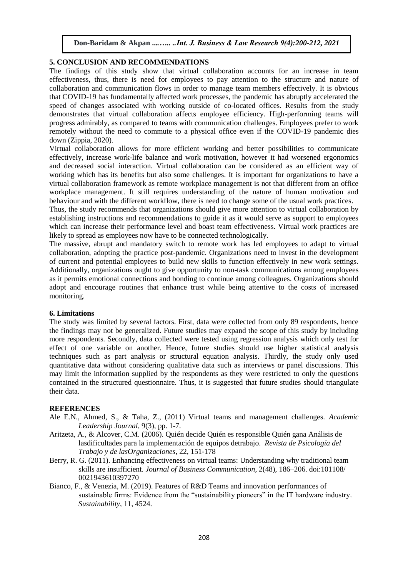#### **5. CONCLUSION AND RECOMMENDATIONS**

The findings of this study show that virtual collaboration accounts for an increase in team effectiveness, thus, there is need for employees to pay attention to the structure and nature of collaboration and communication flows in order to manage team members effectively. It is obvious that COVID-19 has fundamentally affected work processes, the pandemic has abruptly accelerated the speed of changes associated with working outside of co-located offices. Results from the study demonstrates that virtual collaboration affects employee efficiency. High-performing teams will progress admirably, as compared to teams with communication challenges. Employees prefer to work remotely without the need to commute to a physical office even if the COVID-19 pandemic dies down (Zippia, 2020).

Virtual collaboration allows for more efficient working and better possibilities to communicate effectively, increase work-life balance and work motivation, however it had worsened ergonomics and decreased social interaction. Virtual collaboration can be considered as an efficient way of working which has its benefits but also some challenges. It is important for organizations to have a virtual collaboration framework as remote workplace management is not that different from an office workplace management. It still requires understanding of the nature of human motivation and behaviour and with the different workflow, there is need to change some of the usual work practices.

Thus, the study recommends that organizations should give more attention to virtual collaboration by establishing instructions and recommendations to guide it as it would serve as support to employees which can increase their performance level and boast team effectiveness. Virtual work practices are likely to spread as employees now have to be connected technologically.

The massive, abrupt and mandatory switch to remote work has led employees to adapt to virtual collaboration, adopting the practice post-pandemic. Organizations need to invest in the development of current and potential employees to build new skills to function effectively in new work settings. Additionally, organizations ought to give opportunity to non-task communications among employees as it permits emotional connections and bonding to continue among colleagues. Organizations should adopt and encourage routines that enhance trust while being attentive to the costs of increased monitoring.

#### **6. Limitations**

The study was limited by several factors. First, data were collected from only 89 respondents, hence the findings may not be generalized. Future studies may expand the scope of this study by including more respondents. Secondly, data collected were tested using regression analysis which only test for effect of one variable on another. Hence, future studies should use higher statistical analysis techniques such as part analysis or structural equation analysis. Thirdly, the study only used quantitative data without considering qualitative data such as interviews or panel discussions. This may limit the information supplied by the respondents as they were restricted to only the questions contained in the structured questionnaire. Thus, it is suggested that future studies should triangulate their data.

#### **REFERENCES**

- Ale E.N., Ahmed, S., & Taha, Z., (2011) Virtual teams and management challenges. *Academic Leadership Journal,* 9(3), pp. 1-7.
- Aritzeta, A., & Alcover, C.M. (2006). Quién decide Quién es responsible Quién gana Análisis de lasdificultades para la implementación de equipos detrabajo. *Revista de Psicología del Trabajo y de lasOrganizaciones*, 22, 151-178
- Berry, R. G. (2011). Enhancing effectiveness on virtual teams: Understanding why traditional team skills are insufficient. *Journal of Business Communication*, 2(48), 186–206. doi:101108/ 0021943610397270
- Bianco, F., & Venezia, M. (2019). Features of R&D Teams and innovation performances of sustainable firms: Evidence from the "sustainability pioneers" in the IT hardware industry. *Sustainability*, 11, 4524.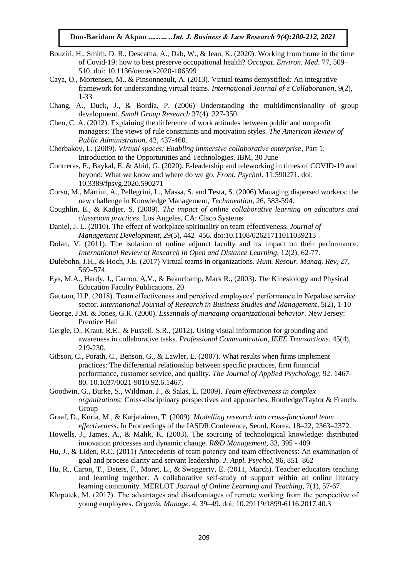- Bouziri, H., Smith, D. R., Descatha, A., Dab, W., & Jean, K. (2020). Working from home in the time of Covid-19: how to best preserve occupational health? *Occupat. Environ. Med*. 77, 509– 510. doi: 10.1136/oemed-2020-106599
- Caya, O., Mortensen, M., & Pinsonneault, A. (2013). Virtual teams demystified: An integrative framework for understanding virtual teams. *International Journal of e Collaboration*, 9(2), 1-33
- Chang, A., Duck, J., & Bordia, P. (2006) Understanding the multidimensionality of group development. *Small Group Research* 37(4). 327-350.
- Chen, C. A. (2012). Explaining the difference of work attitudes between public and nonprofit managers: The views of rule constraints and motivation styles. *The American Review of Public Administration*, 42, 437-460.
- Cherbakov, L. (2009). *Virtual spaces: Enabling immersive collaborative enterprise*, Part 1: Introduction to the Opportunities and Technologies. IBM, 30 June
- Contreras, F., Baykal, E. & Abid, G. (2020). E-leadership and teleworking in times of COVID-19 and beyond: What we know and where do we go. *Front. Psychol*. 11:590271. doi: 10.3389/fpsyg.2020.590271
- Corso, M., Martini, A., Pellegrini, L., Massa, S. and Testa, S. (2006) Managing dispersed workers: the new challenge in Knowledge Management, *Technovation*, 26, 583-594.
- Coughlin, E., & Kadjer, S. (2009). *The impact of online collaborative learning on educators and classroom practices.* Los Angeles, CA: Cisco Systems
- Daniel, J. L. (2010). The effect of workplace spirituality on team effectiveness. *Journal of Management Development,* 29(5), 442–456. doi:10.1108/02621711011039213
- Dolan, V. (2011). The isolation of online adjunct faculty and its impact on their performance. *International Review of Research in Open and Distance Learning*, 12(2), 62-77.
- Dulebohn, J.H., & Hoch, J.E. (2017) Virtual teams in organizations. *Hum. Resour. Manag. Rev*, 27, 569–574.
- Eys, M.A., Hardy, J., Carron, A.V., & Beauchamp, Mark R., (2003). *The* Kinesiology and Physical Education Faculty Publications. 20
- Gautam, H.P. (2018). Team effectiveness and perceived employees' performance in Nepalese service sector. *International Journal of Research in Business Studies and Management*, 5(2), 1-10
- George, J.M. & Jones, G.R. (2000). *Essentials of managing organizational behavior*. New Jersey: Prentice Hall
- Gergle, D., Kraut, R.E., & Fussell. S.R., (2012). Using visual information for grounding and awareness in collaborative tasks. *Professional Communication, IEEE Transactions*. 45(4), 219-230.
- Gibson, C., Porath, C., Benson, G., & Lawler, E. (2007). What results when firms implement practices: The differential relationship between specific practices, firm financial performance, customer service, and quality. *The Journal of Applied Psychology*, 92. 1467- 80. 10.1037/0021-9010.92.6.1467.
- Goodwin, G., Burke, S., Wildman, J., & Salas, E. (2009). *Team effectiveness in complex organizations:* Cross-disciplinary perspectives and approaches. Routledge/Taylor & Francis Group
- Graaf, D., Koria, M., & Karjalainen, T. (2009). *Modelling research into cross-functional team effectiveness*. In Proceedings of the IASDR Conference, Seoul, Korea, 18–22, 2363–2372.
- Howells, J., James, A., & Malik, K. (2003). The sourcing of technological knowledge: distributed innovation processes and dynamic change. *R&D Management*, 33, 395 - 409
- Hu, J., & Liden, R.C. (2011) Antecedents of team potency and team effectiveness: An examination of goal and process clarity and servant leadership. *J. Appl. Psychol*, 96, 851–862
- Hu, R., Caron, T., Deters, F., Moret, L., & Swaggerty, E. (2011, March). Teacher educators teaching and learning together: A collaborative self-study of support within an online literacy learning community. MERLOT *Journal of Online Learning and Teaching*, 7(1), 57-67.
- Kłopotek, M. (2017). The advantages and disadvantages of remote working from the perspective of young employees. *Organiz. Manage.* 4, 39–49. doi: 10.29119/1899-6116.2017.40.3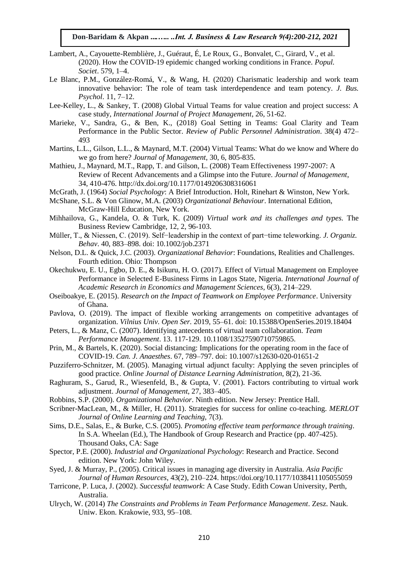- Lambert, A., Cayouette-Remblière, J., Guéraut, É, Le Roux, G., Bonvalet, C., Girard, V., et al. (2020). How the COVID-19 epidemic changed working conditions in France. *Popul. Societ*. 579, 1–4.
- Le Blanc, P.M., González-Romá, V., & Wang, H. (2020) Charismatic leadership and work team innovative behavior: The role of team task interdependence and team potency. *J. Bus. Psychol*. 11, 7–12.
- Lee-Kelley, L., & Sankey, T. (2008) Global Virtual Teams for value creation and project success: A case study, *International Journal of Project Management*, 26, 51-62.
- Marieke, V., Sandra, G., & Ben, K., (2018) Goal Setting in Teams: Goal Clarity and Team Performance in the Public Sector. *Review of Public Personnel Administration*. 38(4) 472– 493
- Martins, L.L., Gilson, L.L., & Maynard, M.T. (2004) Virtual Teams: What do we know and Where do we go from here? *Journal of Management*, 30, 6, 805-835.
- Mathieu, J., Maynard, M.T., Rapp, T. and Gilson, L. (2008) Team Effectiveness 1997-2007: A Review of Recent Advancements and a Glimpse into the Future. *Journal of Management*, 34, 410-476. http://dx.doi.org/10.1177/0149206308316061
- McGrath, J. (1964) *Social Psychology*: A Brief Introduction. Holt, Rinehart & Winston, New York.
- McShane, S.L. & Von Glinow, M.A. (2003) *Organizational Behaviour*. International Edition, McGraw-Hill Education, New York.
- Mihhailova, G., Kandela, O. & Turk, K. (2009) *Virtual work and its challenges and types.* The Business Review Cambridge, 12, 2, 96-103.
- Müller, T., & Niessen, C. (2019). Self−leadership in the context of part−time teleworking. *J. Organiz. Behav*. 40, 883–898. doi: 10.1002/job.2371
- Nelson, D.L. & Quick, J.C. (2003). *Organizational Behavior*: Foundations, Realities and Challenges. Fourth edition. Ohio: Thompson
- Okechukwu, E. U., Egbo, D. E., & Isikuru, H. O. (2017). Effect of Virtual Management on Employee Performance in Selected E-Business Firms in Lagos State, Nigeria. *International Journal of Academic Research in Economics and Management Sciences*, 6(3), 214–229.
- Oseiboakye, E. (2015). *Research on the Impact of Teamwork on Employee Performance*. University of Ghana.
- Pavlova, O. (2019). The impact of flexible working arrangements on competitive advantages of organization. *Vilnius Univ. Open Ser.* 2019, 55–61. doi: 10.15388/OpenSeries.2019.18404
- Peters, L., & Manz, C. (2007). Identifying antecedents of virtual team collaboration. *Team Performance Management*. 13. 117-129. 10.1108/13527590710759865.
- Prin, M., & Bartels, K. (2020). Social distancing: Implications for the operating room in the face of COVID-19. *Can. J. Anaesthes*. 67, 789–797. doi: 10.1007/s12630-020-01651-2
- Puzziferro-Schnitzer, M. (2005). Managing virtual adjunct faculty: Applying the seven principles of good practice. *Online Journal of Distance Learning Administration*, 8(2), 21-36.
- Raghuram, S., Garud, R., Wiesenfeld, B., & Gupta, V. (2001). Factors contributing to virtual work adjustment. *Journal of Management*, 27, 383–405.
- Robbins, S.P. (2000). *Organizational Behavior*. Ninth edition. New Jersey: Prentice Hall.
- Scribner-MacLean, M., & Miller, H. (2011). Strategies for success for online co-teaching. *MERLOT Journal of Online Learning and Teaching*, 7(3).
- Sims, D.E., Salas, E., & Burke, C.S. (2005). *Promoting effective team performance through training*. In S.A. Wheelan (Ed.), The Handbook of Group Research and Practice (pp. 407-425). Thousand Oaks, CA: Sage
- Spector, P.E. (2000). *Industrial and Organizational Psychology*: Research and Practice. Second edition. New York: John Wiley.
- Syed, J. & Murray, P., (2005). Critical issues in managing age diversity in Australia. *Asia Pacific Journal of Human Resources*, 43(2), 210–224. https://doi.org/10.1177/1038411105055059
- Tarricone, P. Luca, J. (2002). *Successful teamwork*: A Case Study. Edith Cowan University, Perth, Australia.
- Ulrych, W. (2014) *The Constraints and Problems in Team Performance Management*. Zesz. Nauk. Uniw. Ekon. Krakowie, 933, 95–108.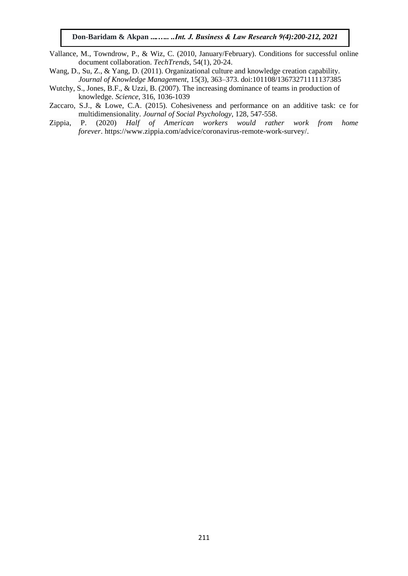- Vallance, M., Towndrow, P., & Wiz, C. (2010, January/February). Conditions for successful online document collaboration. *TechTrends*, 54(1), 20-24.
- Wang, D., Su, Z., & Yang, D. (2011). Organizational culture and knowledge creation capability. *Journal of Knowledge Management*, 15(3), 363–373. doi:101108/13673271111137385
- Wutchy, S., Jones, B.F., & Uzzi, B. (2007). The increasing dominance of teams in production of knowledge. *Science*, 316, 1036-1039
- Zaccaro, S.J., & Lowe, C.A. (2015). Cohesiveness and performance on an additive task: ce for multidimensionality. *Journal of Social Psychology*, 128, 547-558.
- Zippia, P. (2020) *Half of American workers would rather work from home forever*. [https://www.zippia.com/advice/coronavirus-remote-work-survey/.](https://www.zippia.com/advice/coronavirus-remote-work-survey/)